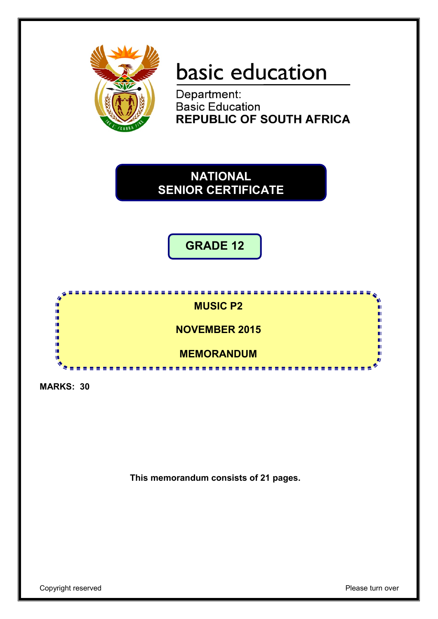

# basic education

Department: Basic Education **REPUBLIC OF SOUTH AFRICA** 



**GRADE 12**



**MARKS: 30**

**This memorandum consists of 21 pages.**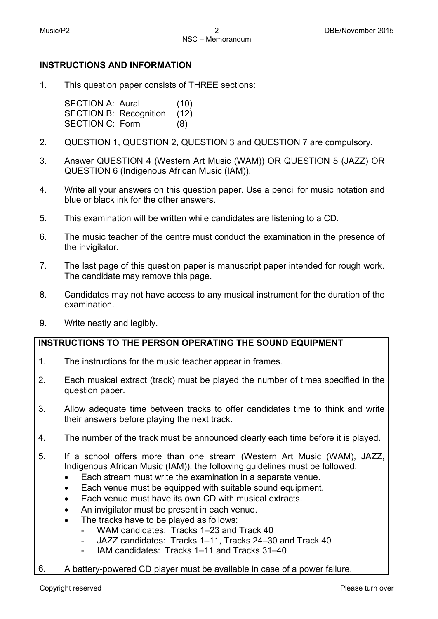# **INSTRUCTIONS AND INFORMATION**

1. This question paper consists of THREE sections:

> SECTION A: Aural (10) SECTION B: Recognition (12) SECTION C: Form (8)

- 2. QUESTION 1, QUESTION 2, QUESTION 3 and QUESTION 7 are compulsory.
- 3. Answer QUESTION 4 (Western Art Music (WAM)) OR QUESTION 5 (JAZZ) OR QUESTION 6 (Indigenous African Music (IAM)).
- 4. Write all your answers on this question paper. Use a pencil for music notation and blue or black ink for the other answers.
- 5. This examination will be written while candidates are listening to a CD.
- 6. The music teacher of the centre must conduct the examination in the presence of the invigilator.
- 7. The last page of this question paper is manuscript paper intended for rough work. The candidate may remove this page.
- 8. Candidates may not have access to any musical instrument for the duration of the examination.
- 9. Write neatly and legibly.

# **INSTRUCTIONS TO THE PERSON OPERATING THE SOUND EQUIPMENT**

- 1. The instructions for the music teacher appear in frames.
- 2. Each musical extract (track) must be played the number of times specified in the question paper.
- 3. Allow adequate time between tracks to offer candidates time to think and write their answers before playing the next track.
- 4. The number of the track must be announced clearly each time before it is played.
- 5. If a school offers more than one stream (Western Art Music (WAM), JAZZ, Indigenous African Music (IAM)), the following guidelines must be followed:
	- Each stream must write the examination in a separate venue.
	- Each venue must be equipped with suitable sound equipment.
	- Each venue must have its own CD with musical extracts.
	- An invigilator must be present in each venue.
	- The tracks have to be played as follows:
		- WAM candidates: Tracks 1–23 and Track 40
		- JAZZ candidates: Tracks 1–11, Tracks 24–30 and Track 40
		- IAM candidates: Tracks 1–11 and Tracks 31–40
- 6. A battery-powered CD player must be available in case of a power failure.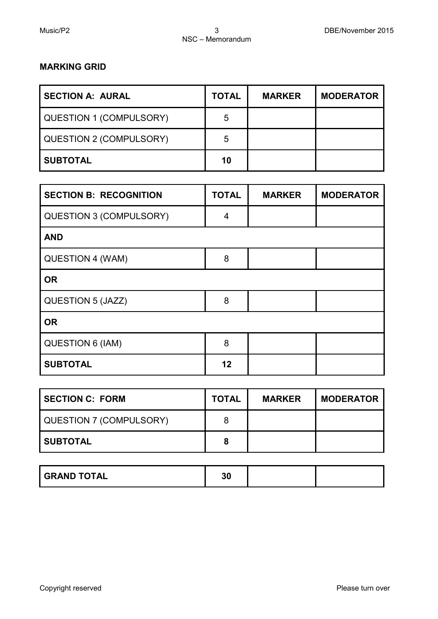# **MARKING GRID**

| <b>SECTION A: AURAL</b> | <b>TOTAL</b> | <b>MARKER</b> | <b>MODERATOR</b> |
|-------------------------|--------------|---------------|------------------|
| QUESTION 1 (COMPULSORY) | 5            |               |                  |
| QUESTION 2 (COMPULSORY) | 5            |               |                  |
| <b>SUBTOTAL</b>         | 10           |               |                  |

| <b>SECTION B: RECOGNITION</b>  | <b>TOTAL</b> | <b>MARKER</b> | <b>MODERATOR</b> |  |
|--------------------------------|--------------|---------------|------------------|--|
| <b>QUESTION 3 (COMPULSORY)</b> | 4            |               |                  |  |
| <b>AND</b>                     |              |               |                  |  |
| QUESTION 4 (WAM)               | 8            |               |                  |  |
| <b>OR</b>                      |              |               |                  |  |
| QUESTION 5 (JAZZ)              | 8            |               |                  |  |
| <b>OR</b>                      |              |               |                  |  |
| <b>QUESTION 6 (IAM)</b>        | 8            |               |                  |  |
| <b>SUBTOTAL</b>                | 12           |               |                  |  |

| SECTION C: FORM         | <b>TOTAL</b> | <b>MARKER</b> | <b>MODERATOR</b> |
|-------------------------|--------------|---------------|------------------|
| QUESTION 7 (COMPULSORY) | 8            |               |                  |
| I SUBTOTAL              | 8            |               |                  |

| <b>GRAND TOTAL</b> | 30 |  |  |
|--------------------|----|--|--|
|--------------------|----|--|--|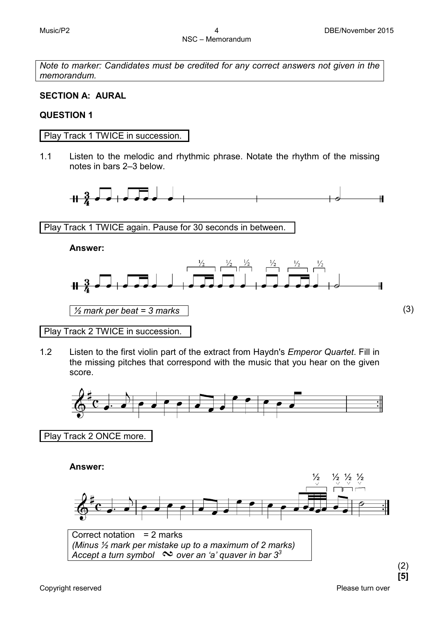*Note to marker: Candidates must be credited for any correct answers not given in the memorandum.*

# **SECTION A: AURAL**

# **QUESTION 1**

Play Track 1 TWICE in succession.

1.1 Listen to the melodic and rhythmic phrase. Notate the rhythm of the missing notes in bars 2–3 below.



Play Track 1 TWICE again. Pause for 30 seconds in between.

**Answer:**



Play Track 2 TWICE in succession.

1.2 Listen to the first violin part of the extract from Haydn's *Emperor Quartet*. Fill in the missing pitches that correspond with the music that you hear on the given score.



(2)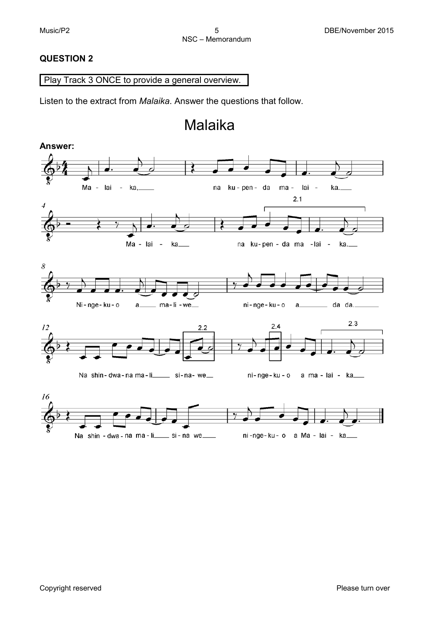#### **QUESTION 2**

# Play Track 3 ONCE to provide a general overview.

Listen to the extract from *Malaika*. Answer the questions that follow.

# Malaika

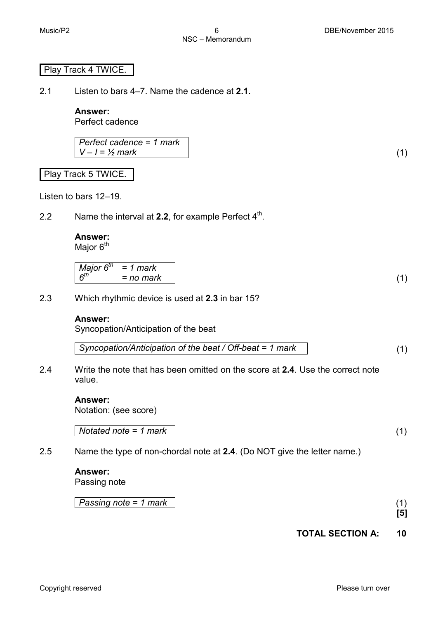#### Play Track 4 TWICE.

2.1 Listen to bars 4–7. Name the cadence at **2.1**.

**Answer:** Perfect cadence

*Perfect cadence = 1 mark*  $V - I = \frac{1}{2}$  mark (1)

Play Track 5 TWICE.

Listen to bars 12–19.

2.2 Name the interval at **2.2**, for example Perfect 4<sup>th</sup>.

# **Answer:**

Major 6<sup>th</sup>

2.3 Which rhythmic device is used at **2.3** in bar 15?

#### **Answer:**

Syncopation/Anticipation of the beat

*Syncopation/Anticipation of the beat / Off-beat = 1 mark* (1)

2.4 Write the note that has been omitted on the score at **2.4**. Use the correct note value.

#### **Answer:**

Notation: (see score)

*Notated note = 1 mark* (1)

2.5 Name the type of non-chordal note at **2.4**. (Do NOT give the letter name.)

#### **Answer:** Passing note

*Passing note = 1 mark* (1)

**[5]**

# **TOTAL SECTION A: 10**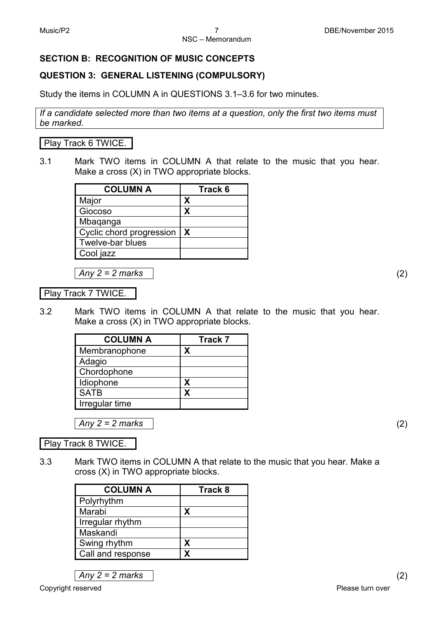# **SECTION B: RECOGNITION OF MUSIC CONCEPTS**

# **QUESTION 3: GENERAL LISTENING (COMPULSORY)**

Study the items in COLUMN A in QUESTIONS 3.1–3.6 for two minutes.

*If a candidate selected more than two items at a question, only the first two items must be marked.*

Play Track 6 TWICE.

3.1 Mark TWO items in COLUMN A that relate to the music that you hear. Make a cross (X) in TWO appropriate blocks.

| <b>COLUMN A</b>              | Track 6 |
|------------------------------|---------|
| Major                        | X       |
| Giocoso                      | X       |
| Mbaqanga                     |         |
| Cyclic chord progression   X |         |
| Twelve-bar blues             |         |
| Cool jazz                    |         |

*Any 2 = 2 marks* (2)

Play Track 7 TWICE.

3.2 Mark TWO items in COLUMN A that relate to the music that you hear. Make a cross (X) in TWO appropriate blocks.

| <b>COLUMN A</b> | <b>Track 7</b> |
|-----------------|----------------|
| Membranophone   | x              |
| Adagio          |                |
| Chordophone     |                |
| Idiophone       | X              |
| <b>SATB</b>     | X              |
| Irregular time  |                |

*Any 2 = 2 marks* (2)

Play Track 8 TWICE.

3.3 Mark TWO items in COLUMN A that relate to the music that you hear. Make a cross (X) in TWO appropriate blocks.

| <b>COLUMN A</b>   | Track 8 |
|-------------------|---------|
| Polyrhythm        |         |
| Marabi            | X       |
| Irregular rhythm  |         |
| Maskandi          |         |
| Swing rhythm      | X       |
| Call and response | x       |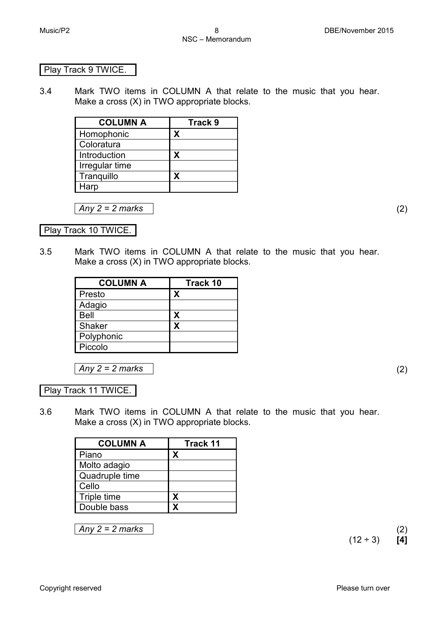#### Play Track 9 TWICE.

3.4 Mark TWO items in COLUMN A that relate to the music that you hear. Make a cross (X) in TWO appropriate blocks.

| <b>COLUMN A</b> | Track 9 |
|-----------------|---------|
| Homophonic      | x       |
| Coloratura      |         |
| Introduction    | х       |
| Irregular time  |         |
| Tranquillo      | x       |
| Harp            |         |

*Any 2 = 2 marks* (2)

Play Track 10 TWICE.

3.5 Mark TWO items in COLUMN A that relate to the music that you hear. Make a cross (X) in TWO appropriate blocks.

| <b>COLUMN A</b> | <b>Track 10</b> |
|-----------------|-----------------|
| Presto          | X               |
| Adagio          |                 |
| Bell            | X               |
| Shaker          | x               |
| Polyphonic      |                 |
| Piccolo         |                 |

*Any 2 = 2 marks* (2)

Play Track 11 TWICE.

3.6 Mark TWO items in COLUMN A that relate to the music that you hear. Make a cross (X) in TWO appropriate blocks.

| <b>Track 11</b> |
|-----------------|
| x               |
|                 |
|                 |
|                 |
| X               |
| x               |
|                 |

*Any 2 = 2 marks* (2)

 $(12 \div 3)$  [4]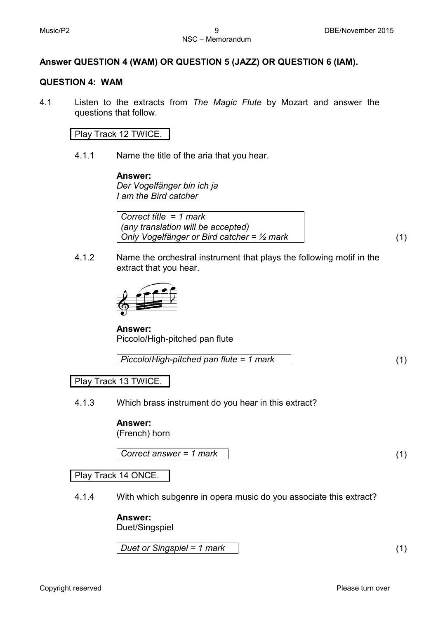# NSC – Memorandum

# **Answer QUESTION 4 (WAM) OR QUESTION 5 (JAZZ) OR QUESTION 6 (IAM).**

#### **QUESTION 4: WAM**

4.1 Listen to the extracts from *The Magic Flute* by Mozart and answer the questions that follow.

#### Play Track 12 TWICE.

4.1.1 Name the title of the aria that you hear.

**Answer:** *Der Vogelfänger bin ich ja I am the Bird catcher*

*Correct title* = *1 mark (any translation will be accepted) Only Vogelfänger or Bird catcher = ½ mark* (1)

4.1.2 Name the orchestral instrument that plays the following motif in the extract that you hear.



**Answer:** Piccolo/High-pitched pan flute

*Piccolo*/*High-pitched pan flute = 1 mark* (1)

Play Track 13 TWICE.

#### 4.1.3 Which brass instrument do you hear in this extract?

#### **Answer:**

(French) horn

*Correct answer = 1 mark* (1)

Play Track 14 ONCE.

4.1.4 With which subgenre in opera music do you associate this extract?

#### **Answer:**

Duet/Singspiel

*Duet or Singspiel = 1 mark* (1)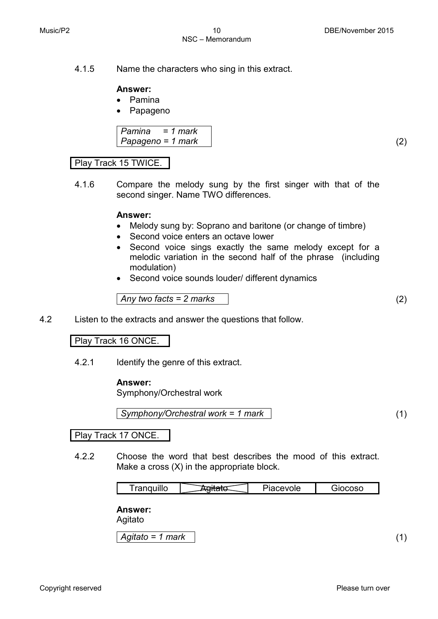# 4.1.5 Name the characters who sing in this extract.

NSC – Memorandum

# **Answer:**

- Pamina
- Papageno

*Pamina = 1 mark Papageno = 1 mark* (2)

# Play Track 15 TWICE.

4.1.6 Compare the melody sung by the first singer with that of the second singer. Name TWO differences.

#### **Answer:**

- Melody sung by: Soprano and baritone (or change of timbre)
- Second voice enters an octave lower
- Second voice sings exactly the same melody except for a melodic variation in the second half of the phrase (including modulation)
- Second voice sounds louder/ different dynamics

$$
Any two facts = 2 marks
$$
\n
$$
(2)
$$

4.2 Listen to the extracts and answer the questions that follow.

#### Play Track 16 ONCE.

4.2.1 Identify the genre of this extract.

#### **Answer:**

Symphony/Orchestral work

*Symphony/Orchestral work = 1 mark* (1)

#### Play Track 17 ONCE.

4.2.2 Choose the word that best describes the mood of this extract. Make a cross (X) in the appropriate block.

|  | <br>'''' |  | viv. | .<br>יוד<br>. |
|--|----------|--|------|---------------|
|--|----------|--|------|---------------|

**Answer:**

Agitato

*Agitato = 1 mark* (1)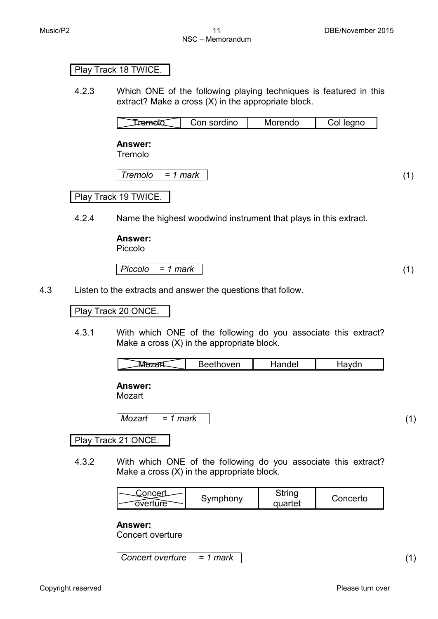#### Play Track 18 TWICE.

4.2.3 Which ONE of the following playing techniques is featured in this extract? Make a cross (X) in the appropriate block.

| Con sordino | Morendo | <b>Teanc</b> |
|-------------|---------|--------------|
|             |         |              |

**Answer:**

Tremolo

*Tremolo = 1 mark* (1)

# Play Track 19 TWICE.

4.2.4 Name the highest woodwind instrument that plays in this extract.

#### **Answer:**

Piccolo

*Piccolo = 1 mark* (1)

4.3 Listen to the extracts and answer the questions that follow.

#### Play Track 20 ONCE.

4.3.1 With which ONE of the following do you associate this extract? Make a cross (X) in the appropriate block.

**Answer:**

Mozart

*Mozart = 1 mark* (1)

#### Play Track 21 ONCE.

4.3.2 With which ONE of the following do you associate this extract? Make a cross (X) in the appropriate block.

#### **Answer:**

Concert overture

*Concert overture = 1 mark* (1)

 $\overline{\phantom{a}}$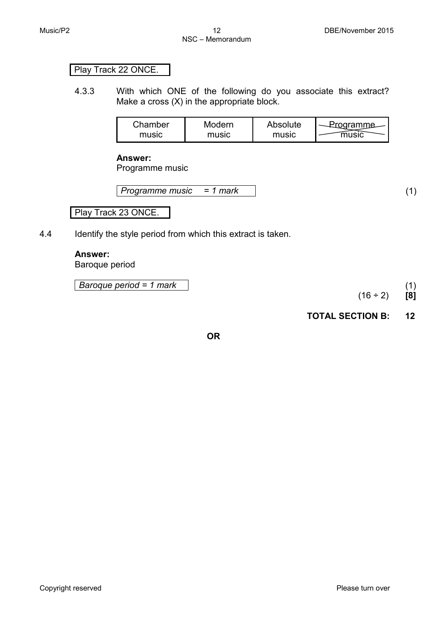# Play Track 22 ONCE.

4.3.3 With which ONE of the following do you associate this extract? Make a cross (X) in the appropriate block.

| Chamber | Modern | Absolute | Orooramma |
|---------|--------|----------|-----------|
| music   | music  | music    |           |

#### **Answer:**

Programme music

| Programme music | $= 1$ mark |  |  |
|-----------------|------------|--|--|
|-----------------|------------|--|--|

Play Track 23 ONCE.

4.4 Identify the style period from which this extract is taken.

# **Answer:**

Baroque period

*Baroque period = 1 mark* (1)

 $(16 \div 2)$  [8]

# **TOTAL SECTION B: 12**

**OR**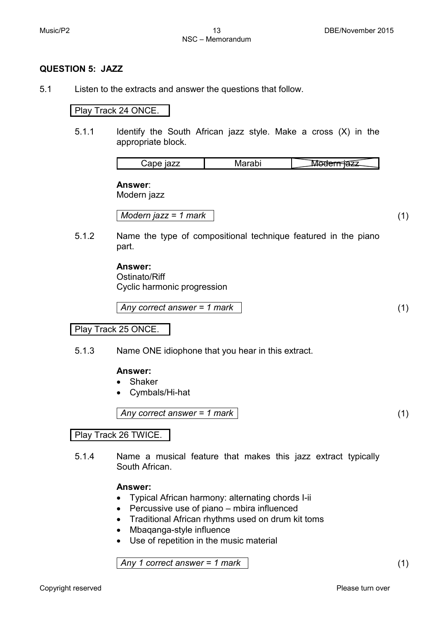#### **QUESTION 5: JAZZ**

5.1 Listen to the extracts and answer the questions that follow.

#### Play Track 24 ONCE.

5.1.1 Identify the South African jazz style. Make a cross (X) in the appropriate block.

|--|

#### **Answer**:

Modern jazz

*Modern jazz = 1 mark* (1)

5.1.2 Name the type of compositional technique featured in the piano part.

#### **Answer:**

Ostinato/Riff Cyclic harmonic progression

$$
Any correct answer = 1 mark
$$
\n
$$
(1)
$$

Play Track 25 ONCE.

5.1.3 Name ONE idiophone that you hear in this extract.

#### **Answer:**

- Shaker
- Cymbals/Hi-hat

#### *Any correct answer = 1 mark* (1)

#### Play Track 26 TWICE.

5.1.4 Name a musical feature that makes this jazz extract typically South African.

#### **Answer:**

- Typical African harmony: alternating chords I-ii
- Percussive use of piano mbira influenced
- Traditional African rhythms used on drum kit toms
- Mbaqanga-style influence
- Use of repetition in the music material

*Any 1 correct answer = 1 mark* (1)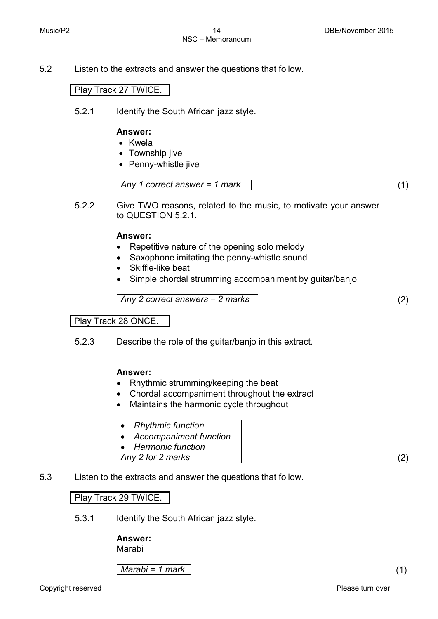5.2 Listen to the extracts and answer the questions that follow.

#### Play Track 27 TWICE.

5.2.1 Identify the South African jazz style.

#### **Answer:**

- Kwela
- Township jive
- Penny-whistle jive

*Any 1 correct answer = 1 mark* (1)

5.2.2 Give TWO reasons, related to the music, to motivate your answer to QUESTION 5.2.1.

#### **Answer:**

- Repetitive nature of the opening solo melody
- Saxophone imitating the penny-whistle sound
- Skiffle-like beat
- Simple chordal strumming accompaniment by quitar/banjo

*Any 2 correct answers = 2 marks* (2)

Play Track 28 ONCE.

5.2.3 Describe the role of the guitar/banjo in this extract.

#### **Answer:**

- Rhythmic strumming/keeping the beat
- Chordal accompaniment throughout the extract
- Maintains the harmonic cycle throughout
- *Rhythmic function*
- *Accompaniment function*
- *Harmonic function*
- *Any 2 for 2 marks* (2)
- 5.3 Listen to the extracts and answer the questions that follow.

#### Play Track 29 TWICE.

5.3.1 Identify the South African jazz style.

# **Answer:**

Marabi

*Marabi = 1 mark* (1)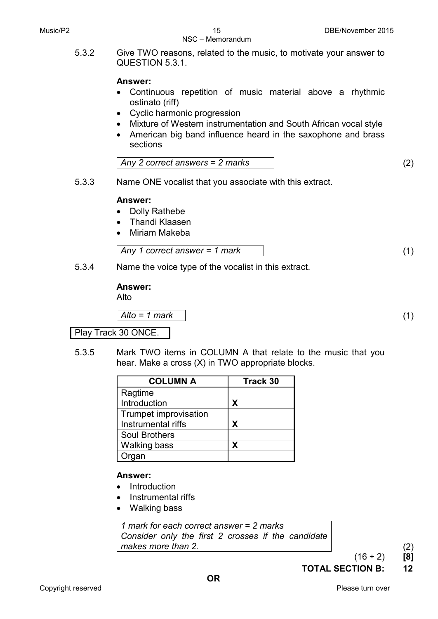#### NSC – Memorandum

5.3.2 Give TWO reasons, related to the music, to motivate your answer to QUESTION 5.3.1.

# **Answer:**

- Continuous repetition of music material above a rhythmic ostinato (riff)
- Cyclic harmonic progression
- Mixture of Western instrumentation and South African vocal style
- American big band influence heard in the saxophone and brass sections

$$
Any 2 correct answers = 2 marks \t(2)
$$

5.3.3 Name ONE vocalist that you associate with this extract.

#### **Answer:**

- Dolly Rathebe
- Thandi Klaasen
- Miriam Makeba

$$
Any 1 correct answer = 1 mark
$$
\n
$$
(1)
$$

5.3.4 Name the voice type of the vocalist in this extract.

#### **Answer:**

Alto

*Alto = 1 mark* (1)

#### Play Track 30 ONCE.

5.3.5 Mark TWO items in COLUMN A that relate to the music that you hear. Make a cross (X) in TWO appropriate blocks.

| <b>COLUMN A</b>       | <b>Track 30</b> |
|-----------------------|-----------------|
| Ragtime               |                 |
| Introduction          | X               |
| Trumpet improvisation |                 |
| Instrumental riffs    | х               |
| <b>Soul Brothers</b>  |                 |
| <b>Walking bass</b>   | x               |
| rgan                  |                 |

#### **Answer:**

- Introduction
- Instrumental riffs
- Walking bass

*1 mark for each correct answer = 2 marks Consider only the first 2 crosses if the candidate makes more than 2.* (2)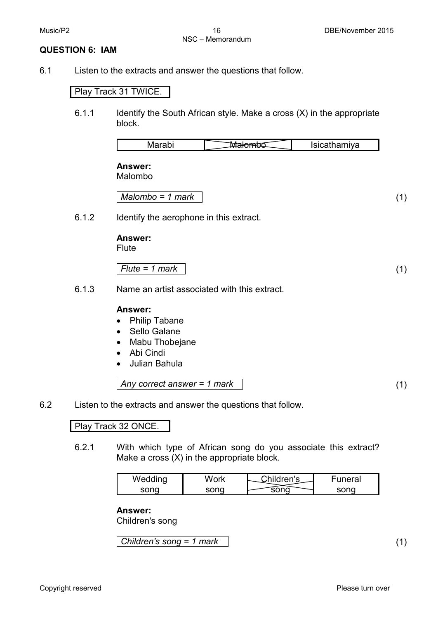#### **QUESTION 6: IAM**

6.1 Listen to the extracts and answer the questions that follow.

#### Play Track 31 TWICE.

6.1.1 Identify the South African style. Make a cross (X) in the appropriate block.

|       | Marabi                                       | M <del>alomb</del> o | Isicathamiya |     |
|-------|----------------------------------------------|----------------------|--------------|-----|
|       | Answer:<br>Malombo                           |                      |              |     |
|       | $Malombo = 1 mark$                           |                      |              | (1) |
| 6.1.2 | Identify the aerophone in this extract.      |                      |              |     |
|       | Answer:<br><b>Flute</b>                      |                      |              |     |
|       | $Flute = 1 mark$                             |                      |              | (1) |
| 6.1.3 | Name an artist associated with this extract. |                      |              |     |

#### **Answer:**

- Philip Tabane
- Sello Galane
- Mabu Thobejane
- Abi Cindi
- Julian Bahula

Any correct answer = 1 mark 
$$
\tag{1}
$$

6.2 Listen to the extracts and answer the questions that follow.

# Play Track 32 ONCE.

6.2.1 With which type of African song do you associate this extract? Make a cross (X) in the appropriate block.

| Wedding | Mork  | Children's | -uneral |
|---------|-------|------------|---------|
|         | ennr. |            |         |

#### **Answer:**

Children's song

*Children's song = 1 mark* (1)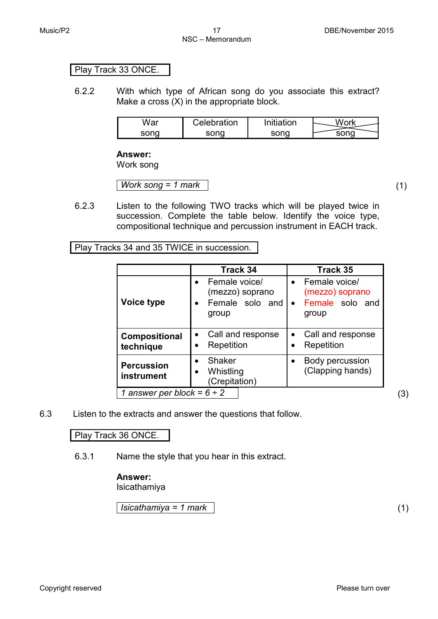#### Play Track 33 ONCE.

6.2.2 With which type of African song do you associate this extract? Make a cross (X) in the appropriate block.

| War  | Celebration | 'nitiation | M/nrk |
|------|-------------|------------|-------|
| sonq | sonq        | sonq       | ono   |

#### **Answer:**

Work song

*Work song = 1 mark* (1)

6.2.3 Listen to the following TWO tracks which will be played twice in succession. Complete the table below. Identify the voice type, compositional technique and percussion instrument in EACH track.

Play Tracks 34 and 35 TWICE in succession.

|                                    | Track 34                                                     | Track 35                                                                               |
|------------------------------------|--------------------------------------------------------------|----------------------------------------------------------------------------------------|
| Voice type                         | Female voice/<br>(mezzo) soprano<br>Female solo and<br>group | Female voice/<br>$\bullet$<br>(mezzo) soprano<br>Female solo and<br>$\bullet$<br>group |
| Compositional<br>technique         | Call and response<br>Repetition                              | Call and response<br>$\bullet$<br>Repetition                                           |
| <b>Percussion</b><br>instrument    | <b>Shaker</b><br>Whistling<br>(Crepitation)                  | Body percussion<br>$\bullet$<br>(Clapping hands)                                       |
| answer per block = $6 \div 2$<br>1 |                                                              |                                                                                        |

6.3 Listen to the extracts and answer the questions that follow.

Play Track 36 ONCE.

6.3.1 Name the style that you hear in this extract.

# **Answer:**

Isicathamiya

*Isicathamiya = 1 mark* (1)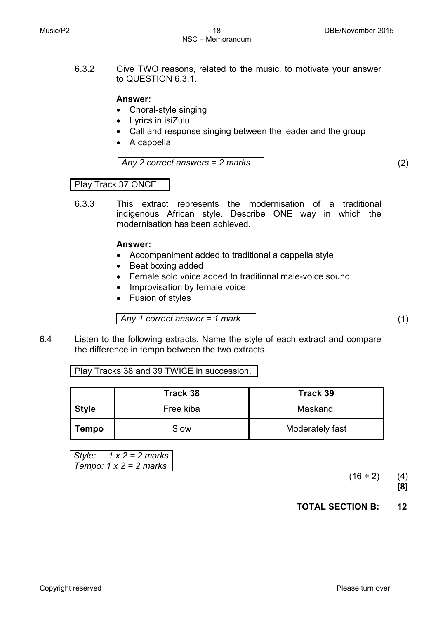6.3.2 Give TWO reasons, related to the music, to motivate your answer to QUESTION 6.3.1.

#### **Answer:**

- Choral-style singing
- Lyrics in isiZulu
- Call and response singing between the leader and the group
- A cappella

*Any 2 correct answers = 2 marks* (2)

#### Play Track 37 ONCE.

6.3.3 This extract represents the modernisation of a traditional indigenous African style. Describe ONE way in which the modernisation has been achieved.

#### **Answer:**

- Accompaniment added to traditional a cappella style
- Beat boxing added
- Female solo voice added to traditional male-voice sound
- Improvisation by female voice
- Fusion of styles

*Any 1 correct answer = 1 mark* (1)

6.4 Listen to the following extracts. Name the style of each extract and compare the difference in tempo between the two extracts.

Play Tracks 38 and 39 TWICE in succession.

|              | Track 38  | Track 39        |
|--------------|-----------|-----------------|
| <b>Style</b> | Free kiba | Maskandi        |
| Tempo        | Slow      | Moderately fast |

*Style: 1 x 2 = 2 marks Tempo: 1 x 2 = 2 marks*

 $(16 \div 2)$  (4)

 **[8]**

**TOTAL SECTION B: 12**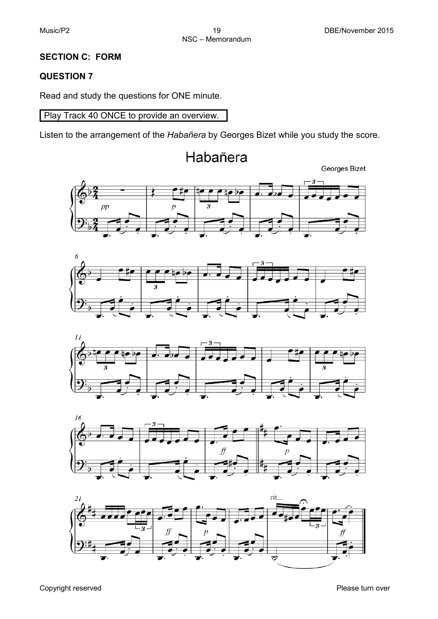# **SECTION C: FORM**

# **QUESTION 7**

Read and study the questions for ONE minute.

Play Track 40 ONCE to provide an overview.

Listen to the arrangement of the *Habañera* by Georges Bizet while you study the score.











Habañera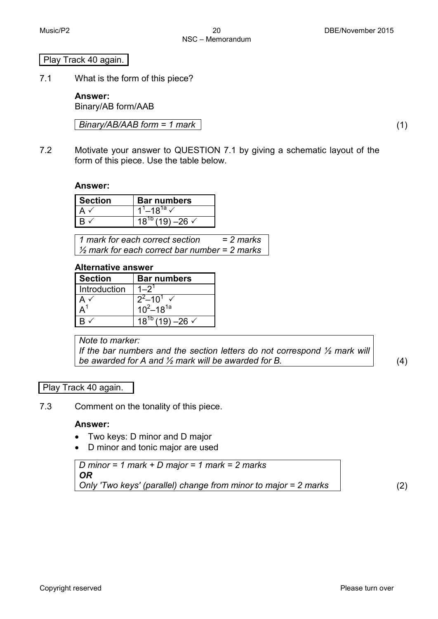# Play Track 40 again.

7.1 What is the form of this piece?

**Answer:** Binary/AB form/AAB

*Binary/AB/AAB form = 1 mark* (1)

7.2 Motivate your answer to QUESTION 7.1 by giving a schematic layout of the form of this piece. Use the table below.

#### **Answer:**

| <b>Section</b> | <b>Bar numbers</b>                   |  |  |
|----------------|--------------------------------------|--|--|
|                | $1^1 - 18^{1a}$ $\overline{v}$       |  |  |
|                | $\sqrt{18^{10}}$ (19) –26 $\sqrt{ }$ |  |  |

*1 mark for each correct section = 2 marks ½ mark for each correct bar number = 2 marks*

#### **Alternative answer**

| <b>Section</b> | <b>Bar numbers</b>                    |  |
|----------------|---------------------------------------|--|
| Introduction   |                                       |  |
|                | $2^{2}$ –10 <sup>1</sup> $\checkmark$ |  |
|                | $10^2 - 18^{1a}$                      |  |
|                | $(19) - 26$ $\checkmark$              |  |

*Note to marker:*

*If the bar numbers and the section letters do not correspond ½ mark will be awarded for A and ½ mark will be awarded for B.* (4)

# Play Track 40 again.

7.3 Comment on the tonality of this piece.

#### **Answer:**

- Two keys: D minor and D major
- D minor and tonic major are used

*D minor = 1 mark + D major = 1 mark = 2 marks OR Only 'Two keys' (parallel) change from minor to major = 2 marks* (2)